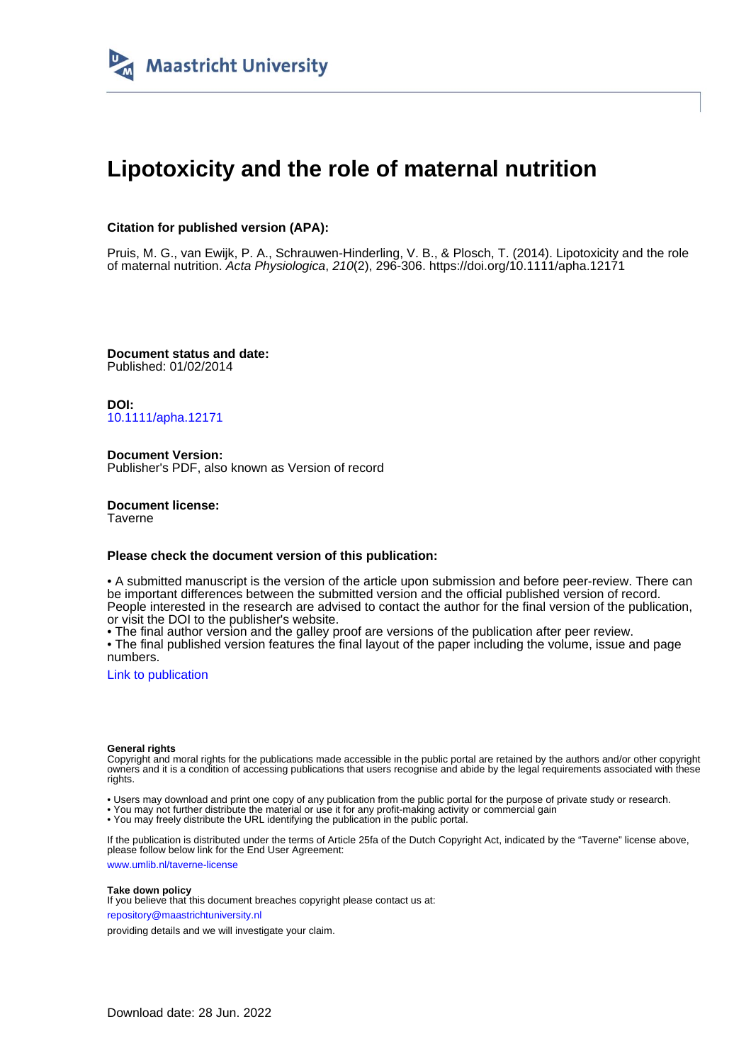

# **Lipotoxicity and the role of maternal nutrition**

## **Citation for published version (APA):**

Pruis, M. G., van Ewijk, P. A., Schrauwen-Hinderling, V. B., & Plosch, T. (2014). Lipotoxicity and the role of maternal nutrition. Acta Physiologica, 210(2), 296-306.<https://doi.org/10.1111/apha.12171>

**Document status and date:** Published: 01/02/2014

**DOI:** [10.1111/apha.12171](https://doi.org/10.1111/apha.12171)

**Document Version:** Publisher's PDF, also known as Version of record

**Document license: Taverne** 

#### **Please check the document version of this publication:**

• A submitted manuscript is the version of the article upon submission and before peer-review. There can be important differences between the submitted version and the official published version of record. People interested in the research are advised to contact the author for the final version of the publication, or visit the DOI to the publisher's website.

• The final author version and the galley proof are versions of the publication after peer review.

• The final published version features the final layout of the paper including the volume, issue and page numbers.

[Link to publication](https://cris.maastrichtuniversity.nl/en/publications/5a115491-263a-4c74-bc48-b173263af3af)

#### **General rights**

Copyright and moral rights for the publications made accessible in the public portal are retained by the authors and/or other copyright owners and it is a condition of accessing publications that users recognise and abide by the legal requirements associated with these rights.

• Users may download and print one copy of any publication from the public portal for the purpose of private study or research.

• You may not further distribute the material or use it for any profit-making activity or commercial gain

• You may freely distribute the URL identifying the publication in the public portal.

If the publication is distributed under the terms of Article 25fa of the Dutch Copyright Act, indicated by the "Taverne" license above, please follow below link for the End User Agreement:

www.umlib.nl/taverne-license

#### **Take down policy**

If you believe that this document breaches copyright please contact us at: repository@maastrichtuniversity.nl

providing details and we will investigate your claim.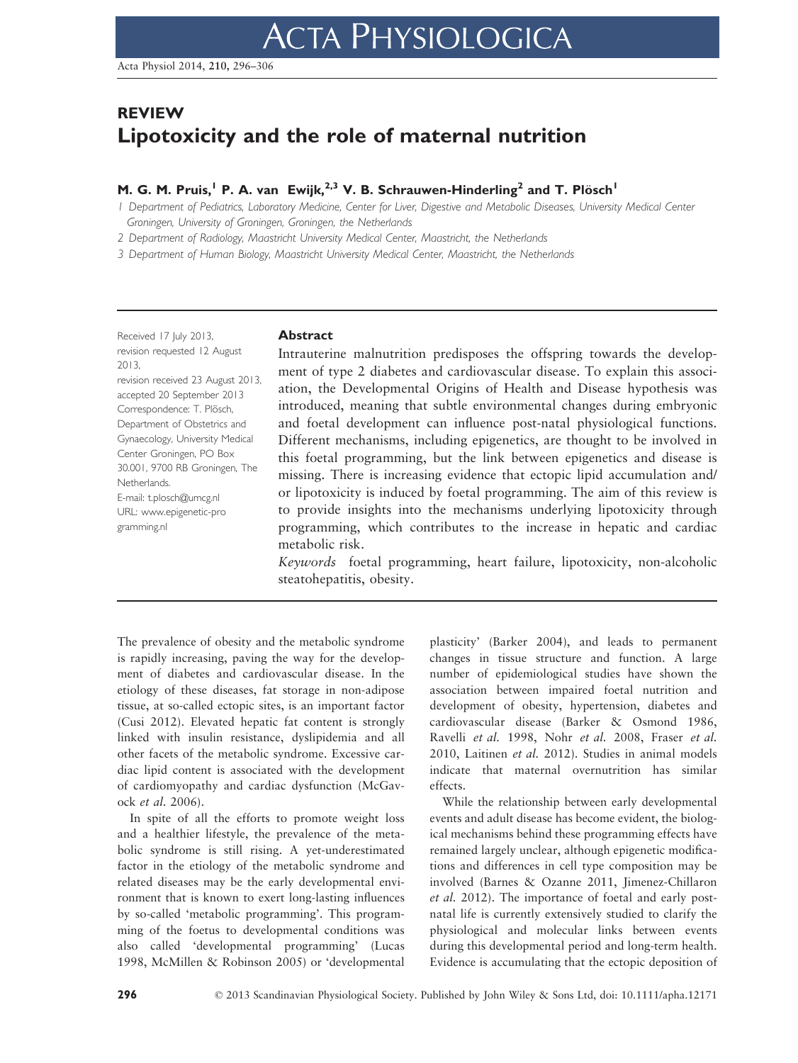# REVIEW Lipotoxicity and the role of maternal nutrition

# M. G. M. Pruis,<sup>1</sup> P. A. van Ewijk,<sup>2,3</sup> V. B. Schrauwen-Hinderling<sup>2</sup> and T. Plösch<sup>1</sup>

1 Department of Pediatrics, Laboratory Medicine, Center for Liver, Digestive and Metabolic Diseases, University Medical Center Groningen, University of Groningen, Groningen, the Netherlands

2 Department of Radiology, Maastricht University Medical Center, Maastricht, the Netherlands

3 Department of Human Biology, Maastricht University Medical Center, Maastricht, the Netherlands

Received 17 July 2013, revision requested 12 August 2013,

revision received 23 August 2013, accepted 20 September 2013 Correspondence: T. Plösch, Department of Obstetrics and Gynaecology, University Medical Center Groningen, PO Box 30.001, 9700 RB Groningen, The Netherlands. E-mail: t.plosch@umcg.nl URL: www.epigenetic-pro gramming.nl

#### Abstract

Intrauterine malnutrition predisposes the offspring towards the development of type 2 diabetes and cardiovascular disease. To explain this association, the Developmental Origins of Health and Disease hypothesis was introduced, meaning that subtle environmental changes during embryonic and foetal development can influence post-natal physiological functions. Different mechanisms, including epigenetics, are thought to be involved in this foetal programming, but the link between epigenetics and disease is missing. There is increasing evidence that ectopic lipid accumulation and/ or lipotoxicity is induced by foetal programming. The aim of this review is to provide insights into the mechanisms underlying lipotoxicity through programming, which contributes to the increase in hepatic and cardiac metabolic risk.

Keywords foetal programming, heart failure, lipotoxicity, non-alcoholic steatohepatitis, obesity.

The prevalence of obesity and the metabolic syndrome is rapidly increasing, paving the way for the development of diabetes and cardiovascular disease. In the etiology of these diseases, fat storage in non-adipose tissue, at so-called ectopic sites, is an important factor (Cusi 2012). Elevated hepatic fat content is strongly linked with insulin resistance, dyslipidemia and all other facets of the metabolic syndrome. Excessive cardiac lipid content is associated with the development of cardiomyopathy and cardiac dysfunction (McGavock et al. 2006).

In spite of all the efforts to promote weight loss and a healthier lifestyle, the prevalence of the metabolic syndrome is still rising. A yet-underestimated factor in the etiology of the metabolic syndrome and related diseases may be the early developmental environment that is known to exert long-lasting influences by so-called 'metabolic programming'. This programming of the foetus to developmental conditions was also called 'developmental programming' (Lucas 1998, McMillen & Robinson 2005) or 'developmental

plasticity' (Barker 2004), and leads to permanent changes in tissue structure and function. A large number of epidemiological studies have shown the association between impaired foetal nutrition and development of obesity, hypertension, diabetes and cardiovascular disease (Barker & Osmond 1986, Ravelli et al. 1998, Nohr et al. 2008, Fraser et al. 2010, Laitinen et al. 2012). Studies in animal models indicate that maternal overnutrition has similar effects.

While the relationship between early developmental events and adult disease has become evident, the biological mechanisms behind these programming effects have remained largely unclear, although epigenetic modifications and differences in cell type composition may be involved (Barnes & Ozanne 2011, Jimenez-Chillaron et al. 2012). The importance of foetal and early postnatal life is currently extensively studied to clarify the physiological and molecular links between events during this developmental period and long-term health. Evidence is accumulating that the ectopic deposition of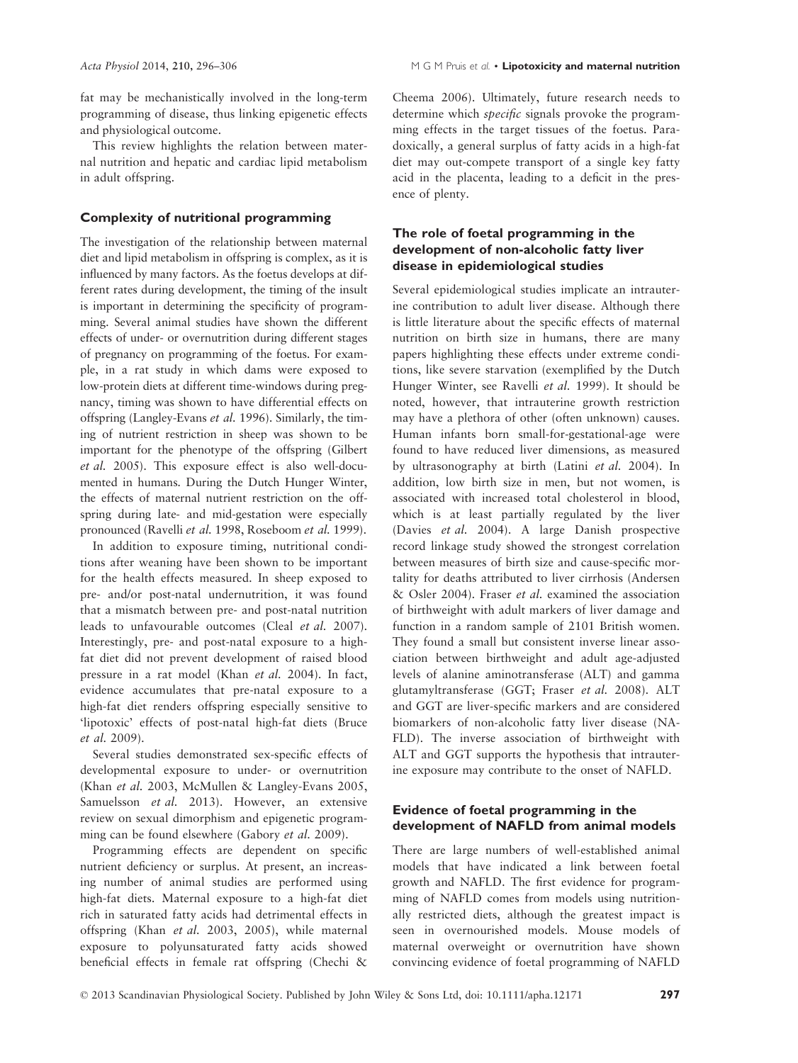fat may be mechanistically involved in the long-term programming of disease, thus linking epigenetic effects and physiological outcome.

This review highlights the relation between maternal nutrition and hepatic and cardiac lipid metabolism in adult offspring.

#### Complexity of nutritional programming

The investigation of the relationship between maternal diet and lipid metabolism in offspring is complex, as it is influenced by many factors. As the foetus develops at different rates during development, the timing of the insult is important in determining the specificity of programming. Several animal studies have shown the different effects of under- or overnutrition during different stages of pregnancy on programming of the foetus. For example, in a rat study in which dams were exposed to low-protein diets at different time-windows during pregnancy, timing was shown to have differential effects on offspring (Langley-Evans et al. 1996). Similarly, the timing of nutrient restriction in sheep was shown to be important for the phenotype of the offspring (Gilbert et al. 2005). This exposure effect is also well-documented in humans. During the Dutch Hunger Winter, the effects of maternal nutrient restriction on the offspring during late- and mid-gestation were especially pronounced (Ravelli et al. 1998, Roseboom et al. 1999).

In addition to exposure timing, nutritional conditions after weaning have been shown to be important for the health effects measured. In sheep exposed to pre- and/or post-natal undernutrition, it was found that a mismatch between pre- and post-natal nutrition leads to unfavourable outcomes (Cleal et al. 2007). Interestingly, pre- and post-natal exposure to a highfat diet did not prevent development of raised blood pressure in a rat model (Khan et al. 2004). In fact, evidence accumulates that pre-natal exposure to a high-fat diet renders offspring especially sensitive to 'lipotoxic' effects of post-natal high-fat diets (Bruce et al. 2009).

Several studies demonstrated sex-specific effects of developmental exposure to under- or overnutrition (Khan et al. 2003, McMullen & Langley-Evans 2005, Samuelsson et al. 2013). However, an extensive review on sexual dimorphism and epigenetic programming can be found elsewhere (Gabory et al. 2009).

Programming effects are dependent on specific nutrient deficiency or surplus. At present, an increasing number of animal studies are performed using high-fat diets. Maternal exposure to a high-fat diet rich in saturated fatty acids had detrimental effects in offspring (Khan et al. 2003, 2005), while maternal exposure to polyunsaturated fatty acids showed beneficial effects in female rat offspring (Chechi &

Cheema 2006). Ultimately, future research needs to determine which *specific* signals provoke the programming effects in the target tissues of the foetus. Paradoxically, a general surplus of fatty acids in a high-fat diet may out-compete transport of a single key fatty acid in the placenta, leading to a deficit in the presence of plenty.

# The role of foetal programming in the development of non-alcoholic fatty liver disease in epidemiological studies

Several epidemiological studies implicate an intrauterine contribution to adult liver disease. Although there is little literature about the specific effects of maternal nutrition on birth size in humans, there are many papers highlighting these effects under extreme conditions, like severe starvation (exemplified by the Dutch Hunger Winter, see Ravelli et al. 1999). It should be noted, however, that intrauterine growth restriction may have a plethora of other (often unknown) causes. Human infants born small-for-gestational-age were found to have reduced liver dimensions, as measured by ultrasonography at birth (Latini et al. 2004). In addition, low birth size in men, but not women, is associated with increased total cholesterol in blood, which is at least partially regulated by the liver (Davies et al. 2004). A large Danish prospective record linkage study showed the strongest correlation between measures of birth size and cause-specific mortality for deaths attributed to liver cirrhosis (Andersen & Osler 2004). Fraser et al. examined the association of birthweight with adult markers of liver damage and function in a random sample of 2101 British women. They found a small but consistent inverse linear association between birthweight and adult age-adjusted levels of alanine aminotransferase (ALT) and gamma glutamyltransferase (GGT; Fraser et al. 2008). ALT and GGT are liver-specific markers and are considered biomarkers of non-alcoholic fatty liver disease (NA-FLD). The inverse association of birthweight with ALT and GGT supports the hypothesis that intrauterine exposure may contribute to the onset of NAFLD.

### Evidence of foetal programming in the development of NAFLD from animal models

There are large numbers of well-established animal models that have indicated a link between foetal growth and NAFLD. The first evidence for programming of NAFLD comes from models using nutritionally restricted diets, although the greatest impact is seen in overnourished models. Mouse models of maternal overweight or overnutrition have shown convincing evidence of foetal programming of NAFLD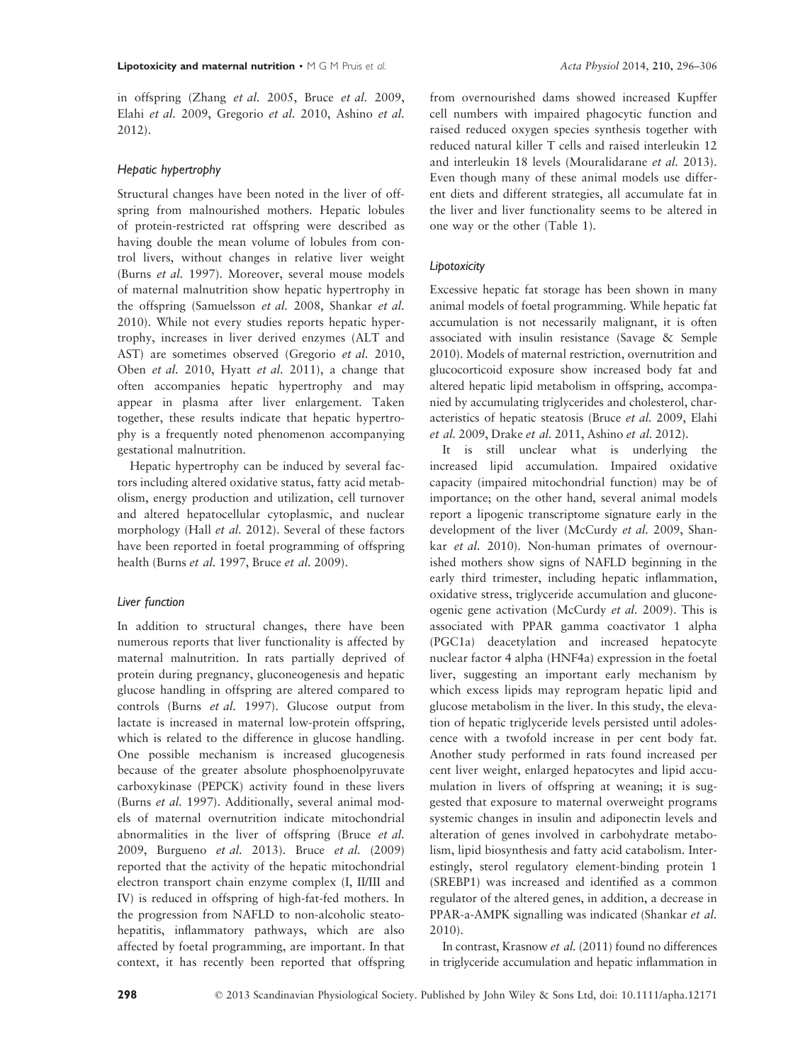in offspring (Zhang et al. 2005, Bruce et al. 2009, Elahi et al. 2009, Gregorio et al. 2010, Ashino et al. 2012).

#### Hepatic hypertrophy

Structural changes have been noted in the liver of offspring from malnourished mothers. Hepatic lobules of protein-restricted rat offspring were described as having double the mean volume of lobules from control livers, without changes in relative liver weight (Burns et al. 1997). Moreover, several mouse models of maternal malnutrition show hepatic hypertrophy in the offspring (Samuelsson et al. 2008, Shankar et al. 2010). While not every studies reports hepatic hypertrophy, increases in liver derived enzymes (ALT and AST) are sometimes observed (Gregorio et al. 2010, Oben et al. 2010, Hyatt et al. 2011), a change that often accompanies hepatic hypertrophy and may appear in plasma after liver enlargement. Taken together, these results indicate that hepatic hypertrophy is a frequently noted phenomenon accompanying gestational malnutrition.

Hepatic hypertrophy can be induced by several factors including altered oxidative status, fatty acid metabolism, energy production and utilization, cell turnover and altered hepatocellular cytoplasmic, and nuclear morphology (Hall et al. 2012). Several of these factors have been reported in foetal programming of offspring health (Burns et al. 1997, Bruce et al. 2009).

#### Liver function

In addition to structural changes, there have been numerous reports that liver functionality is affected by maternal malnutrition. In rats partially deprived of protein during pregnancy, gluconeogenesis and hepatic glucose handling in offspring are altered compared to controls (Burns et al. 1997). Glucose output from lactate is increased in maternal low-protein offspring, which is related to the difference in glucose handling. One possible mechanism is increased glucogenesis because of the greater absolute phosphoenolpyruvate carboxykinase (PEPCK) activity found in these livers (Burns et al. 1997). Additionally, several animal models of maternal overnutrition indicate mitochondrial abnormalities in the liver of offspring (Bruce et al. 2009, Burgueno et al. 2013). Bruce et al. (2009) reported that the activity of the hepatic mitochondrial electron transport chain enzyme complex (I, II/III and IV) is reduced in offspring of high-fat-fed mothers. In the progression from NAFLD to non-alcoholic steatohepatitis, inflammatory pathways, which are also affected by foetal programming, are important. In that context, it has recently been reported that offspring

from overnourished dams showed increased Kupffer cell numbers with impaired phagocytic function and raised reduced oxygen species synthesis together with reduced natural killer T cells and raised interleukin 12 and interleukin 18 levels (Mouralidarane et al. 2013). Even though many of these animal models use different diets and different strategies, all accumulate fat in the liver and liver functionality seems to be altered in one way or the other (Table 1).

#### Lipotoxicity

Excessive hepatic fat storage has been shown in many animal models of foetal programming. While hepatic fat accumulation is not necessarily malignant, it is often associated with insulin resistance (Savage & Semple 2010). Models of maternal restriction, overnutrition and glucocorticoid exposure show increased body fat and altered hepatic lipid metabolism in offspring, accompanied by accumulating triglycerides and cholesterol, characteristics of hepatic steatosis (Bruce et al. 2009, Elahi et al. 2009, Drake et al. 2011, Ashino et al. 2012).

It is still unclear what is underlying the increased lipid accumulation. Impaired oxidative capacity (impaired mitochondrial function) may be of importance; on the other hand, several animal models report a lipogenic transcriptome signature early in the development of the liver (McCurdy et al. 2009, Shankar et al. 2010). Non-human primates of overnourished mothers show signs of NAFLD beginning in the early third trimester, including hepatic inflammation, oxidative stress, triglyceride accumulation and gluconeogenic gene activation (McCurdy et al. 2009). This is associated with PPAR gamma coactivator 1 alpha (PGC1a) deacetylation and increased hepatocyte nuclear factor 4 alpha (HNF4a) expression in the foetal liver, suggesting an important early mechanism by which excess lipids may reprogram hepatic lipid and glucose metabolism in the liver. In this study, the elevation of hepatic triglyceride levels persisted until adolescence with a twofold increase in per cent body fat. Another study performed in rats found increased per cent liver weight, enlarged hepatocytes and lipid accumulation in livers of offspring at weaning; it is suggested that exposure to maternal overweight programs systemic changes in insulin and adiponectin levels and alteration of genes involved in carbohydrate metabolism, lipid biosynthesis and fatty acid catabolism. Interestingly, sterol regulatory element-binding protein 1 (SREBP1) was increased and identified as a common regulator of the altered genes, in addition, a decrease in PPAR-a-AMPK signalling was indicated (Shankar et al. 2010).

In contrast, Krasnow et al. (2011) found no differences in triglyceride accumulation and hepatic inflammation in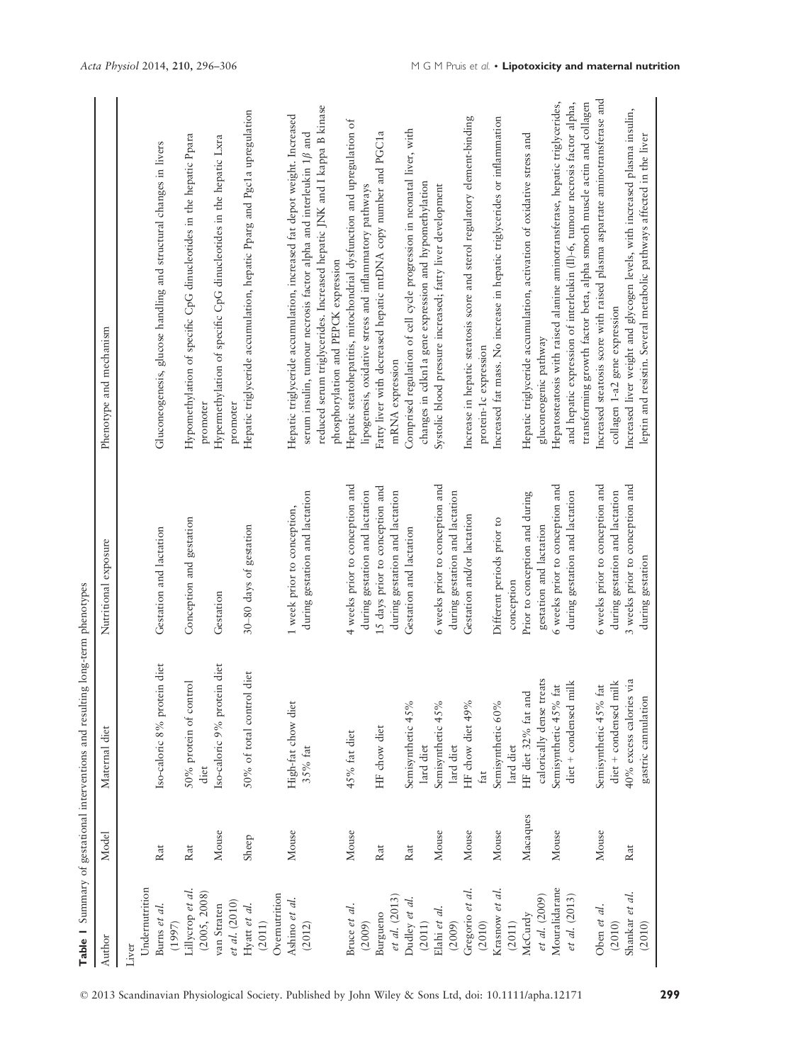|                        |          | Table 1 Summary of gestational interventions and resulting long-term phenotypes |                                 |                                                                                                                 |
|------------------------|----------|---------------------------------------------------------------------------------|---------------------------------|-----------------------------------------------------------------------------------------------------------------|
| Author                 | Model    | Maternal diet                                                                   | Nutritional exposure            | Phenotype and mechanism                                                                                         |
| Liver                  |          |                                                                                 |                                 |                                                                                                                 |
| Undernutrition         |          |                                                                                 |                                 |                                                                                                                 |
| Burns et al.<br>(1997) | Rat      | Iso-caloric 8% protein diet                                                     | Gestation and lactation         | Gluconeogenesis, glucose handling and structural changes in livers                                              |
| Lillycrop et al.       | Rat      | 50% protein of control                                                          | Conception and gestation        | Hypomethylation of specific CpG dinucleotides in the hepatic Ppara                                              |
| (2005, 2008)           |          | diet                                                                            |                                 | promoter                                                                                                        |
| van Straten            | Mouse    | Iso-caloric 9% protein diet                                                     | Gestation                       | Hypermethylation of specific CpG dinucleotides in the hepatic Lxra                                              |
| et al. (2010)          |          |                                                                                 |                                 | promoter                                                                                                        |
| Hyatt et al.           | Sheep    | diet<br>50% of total control                                                    | 30-80 days of gestation         | Hepatic triglyceride accumulation, hepatic Pparg and Pgc1a upregulation                                         |
| (2011)                 |          |                                                                                 |                                 |                                                                                                                 |
| Overnutrition          |          |                                                                                 |                                 |                                                                                                                 |
| Ashino et al.          | Mouse    | High-fat chow diet                                                              | 1 week prior to conception,     | Hepatic triglyceride accumulation, increased fat depot weight. Increased                                        |
| (2012)                 |          | 35% fat                                                                         | during gestation and lactation  | serum insulin, tumour necrosis factor alpha and interleukin $1\beta$ and                                        |
|                        |          |                                                                                 |                                 | reduced serum triglycerides. Increased hepatic JNK and I kappa B kinase<br>phosphorylation and PEPCK expression |
| Bruce et al.           | Mouse    | 45% fat diet                                                                    | 4 weeks prior to conception and | Hepatic steatohepatitis, mitochondrial dysfunction and upregulation of                                          |
| (2009)                 |          |                                                                                 | during gestation and lactation  | lipogenesis, oxidative stress and inflammatory pathways                                                         |
| Burgueno               | Rat      | HF chow diet                                                                    | 15 days prior to conception and | Fatty liver with decreased hepatic mtDNA copy number and PGC1a                                                  |
| et al. (2013)          |          |                                                                                 | during gestation and lactation  | mRNA expression                                                                                                 |
| Dudley et al.          | Rat      | Semisynthetic 45%                                                               | Gestation and lactation         | Comprised regulation of cell cycle progression in neonatal liver, with                                          |
| (2011)                 |          | lard diet                                                                       |                                 | changes in cdkn1a gene expression and hypomethylation                                                           |
| Elahi et al.           | Mouse    | Semisynthetic 45%                                                               | 6 weeks prior to conception and | Systolic blood pressure increased; fatty liver development                                                      |
| (2009)                 |          | lard diet                                                                       | during gestation and lactation  |                                                                                                                 |
| Gregorio et al.        | Mouse    | HF chow diet 49%                                                                | Gestation and/or lactation      | Increase in hepatic steatosis score and sterol regulatory element-binding                                       |
| (2010)                 |          | fat                                                                             |                                 | protein-1c expression                                                                                           |
| Krasnow et al.         | Mouse    | Semisynthetic 60%                                                               | Different periods prior to      | Increased fat mass. No increase in hepatic triglycerides or inflammation                                        |
| (2011)                 |          | lard diet                                                                       | conception                      |                                                                                                                 |
| McCurdy                | Macaques | HF diet 32% fat and                                                             | Prior to conception and during  | Hepatic triglyceride accumulation, activation of oxidative stress and                                           |
| et al. (2009)          |          | calorically dense treats                                                        | gestation and lactation         | gluconeogenic pathway                                                                                           |
| Mouralidarane          | Mouse    | Semisynthetic 45% fat                                                           | 6 weeks prior to conception and | Hepatosteatosis with raised alanine aminotransferase, hepatic triglycerides,                                    |
| et al. (2013)          |          | $\mathrm{dict}+\mathrm{condensed}\ \mathrm{milk}$                               | during gestation and lactation  | and hepatic expression of interleukin (II)-6, tumour necrosis factor alpha,                                     |
|                        |          |                                                                                 |                                 | transforming growth factor beta, alpha smooth muscle actin and collagen                                         |
| Oben et al.            | Mouse    | Semisynthetic 45% fat                                                           | 6 weeks prior to conception and | Increased steatosis score with raised plasma aspartate aminotransferase and                                     |
| (2010)                 |          | diet + condensed milk                                                           | during gestation and lactation  | collagen 1-a2 gene expression                                                                                   |
| Shankar et al.         | Rat      | 40% excess calories via                                                         | 3 weeks prior to conception and | Increased liver weight and glycogen levels, with increased plasma insulin,                                      |
| (2010)                 |          | gastric cannulation                                                             | during gestation                | leptin and resistin. Several metabolic pathways affected in the liver                                           |
|                        |          |                                                                                 |                                 |                                                                                                                 |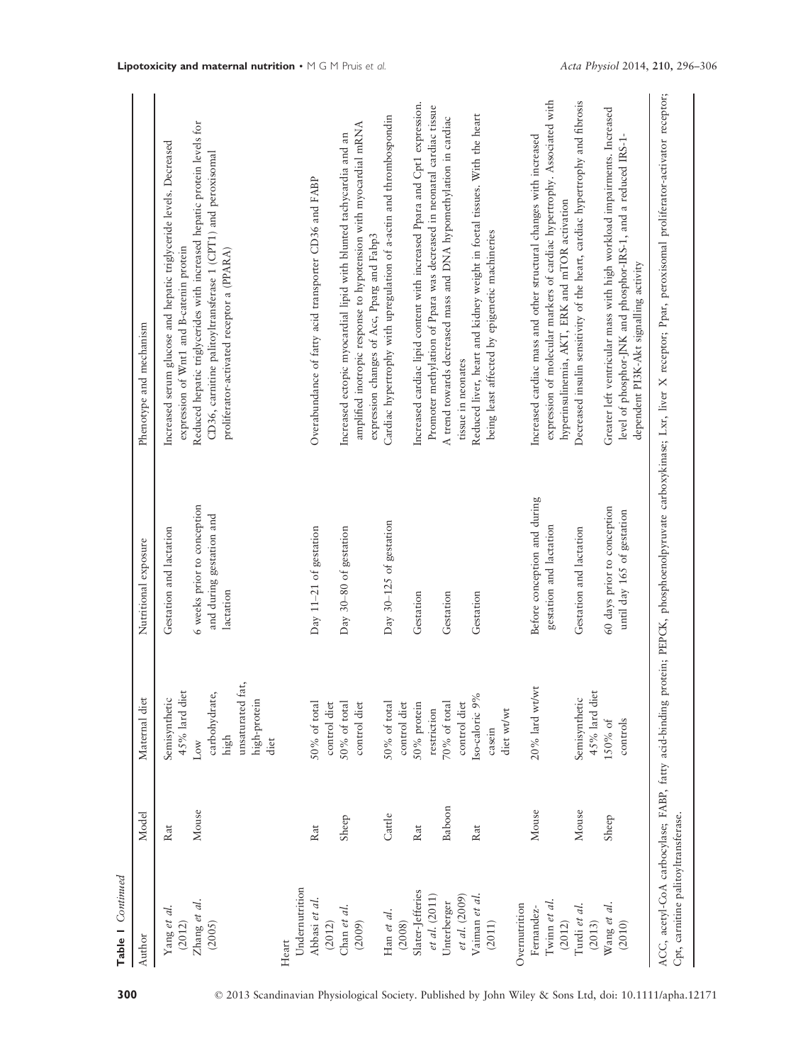| Table 1 Continued                   |            |                                                                                      |                                                                      |                                                                                                                                                                                      |
|-------------------------------------|------------|--------------------------------------------------------------------------------------|----------------------------------------------------------------------|--------------------------------------------------------------------------------------------------------------------------------------------------------------------------------------|
| Author                              | Model      | Maternal diet                                                                        | Nutritional exposure                                                 | Phenotype and mechanism                                                                                                                                                              |
| Yang et al.<br>(2012)               | Rat        | 45% lard diet<br>Semisynthetic                                                       | Gestation and lactation                                              | Increased serum glucose and hepatic triglyceride levels. Decreased<br>expression of Wnt1 and B-catenin protein                                                                       |
| Zhang et al.<br>(2005)              | Mouse      | unsaturated fat,<br>carbohydrate,<br>high-protein<br>high<br>diet<br>$_{\text{Low}}$ | 6 weeks prior to conception<br>and during gestation and<br>lactation | Reduced hepatic triglycerides with increased hepatic protein levels for<br>CD36, carnitine palitoyltransferase 1 (CPT1) and peroxisomal<br>proliferator-activated receptor a (PPARA) |
| Undernutrition<br>Heart             |            |                                                                                      |                                                                      |                                                                                                                                                                                      |
| Abbasi et al.<br>(2012)             | Rat        | 50% of total<br>control diet                                                         | Day 11-21 of gestation                                               | Overabundance of fatty acid transporter CD36 and FABP                                                                                                                                |
| Chan et al.<br>(2009)               | Sheep      | control diet<br>50% of total                                                         | Day 30-80 of gestation                                               | amplified inotropic response to hypotension with myocardial mRNA<br>Increased ectopic myocardial lipid with blunted tachycardia and an<br>expression changes of Acc, Pparg and Fabp3 |
| Han et al.<br>(2008)                | Cattle     | 50% of total<br>control diet                                                         | Day 30-125 of gestation                                              | Cardiac hypertrophy with upregulation of a-actin and thrombospondin                                                                                                                  |
| Slater-Jefferies                    | $\rm{Rat}$ | 50% protein                                                                          | Gestation                                                            | Increased cardiac lipid content with increased Ppara and Cpt1 expression.                                                                                                            |
| et al. (2011)                       |            | $70\%$ of total<br>restriction                                                       | Gestation                                                            | Promoter methylation of Ppara was decreased in neonatal cardiac tissue                                                                                                               |
| et al. (2009)<br>Unterberger        | Baboon     | control diet                                                                         |                                                                      | A trend towards decreased mass and DNA hypomethylation in cardiac<br>tissue in neonates                                                                                              |
| Vaiman et al.                       | Rat        | Iso-caloric 9%                                                                       | Gestation                                                            | Reduced liver, heart and kidney weight in foctal tissues. With the heart                                                                                                             |
| (2011)                              |            | diet wt/wt<br>casein                                                                 |                                                                      | being least affected by epigenetic machineries                                                                                                                                       |
| Overnutrition                       |            |                                                                                      |                                                                      |                                                                                                                                                                                      |
| Twinn et al.<br>Fernandez-          | Mouse      | $20\%$ lard wt/wt                                                                    | Before conception and during<br>gestation and lactation              | expression of molecular markers of cardiac hypertrophy. Associated with<br>Increased cardiac mass and other structural changes with increased                                        |
| (2012)                              |            |                                                                                      |                                                                      | hyperinsulinemia, AKT, ERK and mTOR activation                                                                                                                                       |
| Turdi et al.<br>(2013)              | Mouse      | 45% lard diet<br>Semisynthetic                                                       | Gestation and lactation                                              | Decreased insulin sensitivity of the heart, cardiac hypertrophy and fibrosis                                                                                                         |
| Wang et al.<br>(2010)               | Sheep      | controls<br>150% of                                                                  | 60 days prior to conception<br>until day 165 of gestation            | Greater left ventricular mass with high workload impairments. Increased<br>level of phosphor-JNK and phosphor-IRS-1, and a reduced IRS-1-<br>dependent PI3K-Akt signalling activity  |
| Cpt, carnitine palitoyltransferase. |            |                                                                                      |                                                                      | ACC, acetyl-CoA carbocylase; FABP, fatty acid-binding protein; PEPCK, phosphoenolpyruvate carboxykinase; Lxr, liver X receptor; Ppar, peroxisomal proliferator-activator receptor;   |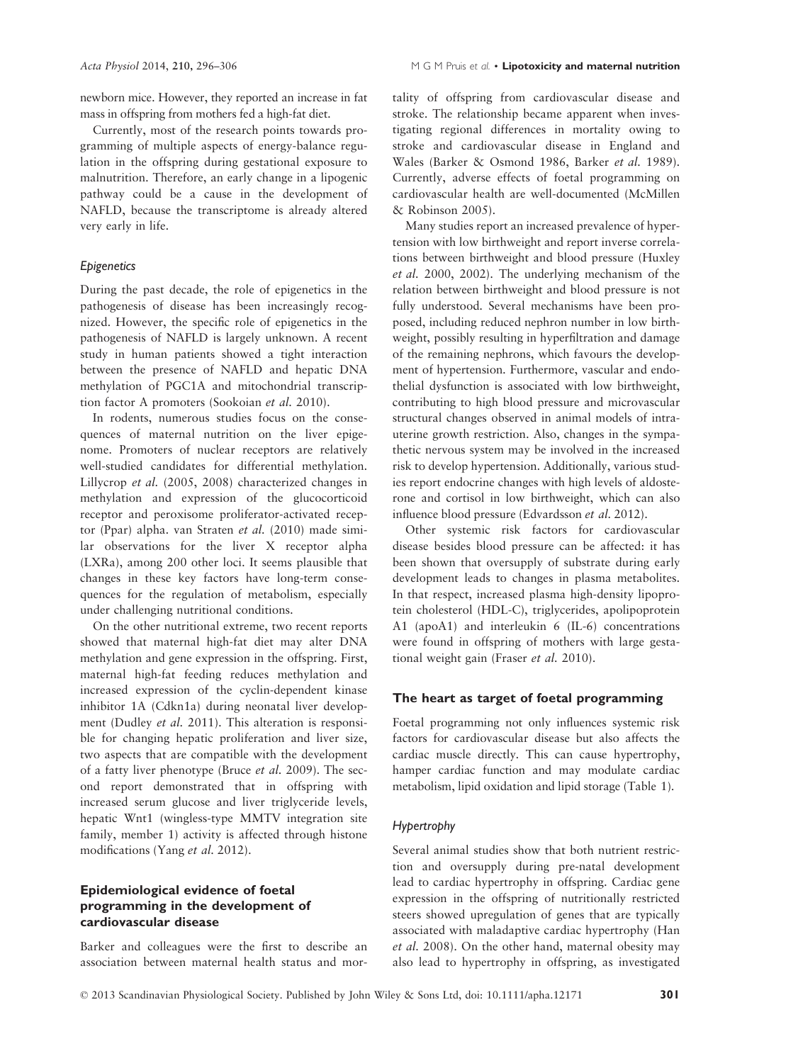newborn mice. However, they reported an increase in fat mass in offspring from mothers fed a high-fat diet.

Currently, most of the research points towards programming of multiple aspects of energy-balance regulation in the offspring during gestational exposure to malnutrition. Therefore, an early change in a lipogenic pathway could be a cause in the development of NAFLD, because the transcriptome is already altered very early in life.

#### Epigenetics

During the past decade, the role of epigenetics in the pathogenesis of disease has been increasingly recognized. However, the specific role of epigenetics in the pathogenesis of NAFLD is largely unknown. A recent study in human patients showed a tight interaction between the presence of NAFLD and hepatic DNA methylation of PGC1A and mitochondrial transcription factor A promoters (Sookoian et al. 2010).

In rodents, numerous studies focus on the consequences of maternal nutrition on the liver epigenome. Promoters of nuclear receptors are relatively well-studied candidates for differential methylation. Lillycrop et al. (2005, 2008) characterized changes in methylation and expression of the glucocorticoid receptor and peroxisome proliferator-activated receptor (Ppar) alpha. van Straten et al. (2010) made similar observations for the liver X receptor alpha (LXRa), among 200 other loci. It seems plausible that changes in these key factors have long-term consequences for the regulation of metabolism, especially under challenging nutritional conditions.

On the other nutritional extreme, two recent reports showed that maternal high-fat diet may alter DNA methylation and gene expression in the offspring. First, maternal high-fat feeding reduces methylation and increased expression of the cyclin-dependent kinase inhibitor 1A (Cdkn1a) during neonatal liver development (Dudley et al. 2011). This alteration is responsible for changing hepatic proliferation and liver size, two aspects that are compatible with the development of a fatty liver phenotype (Bruce et al. 2009). The second report demonstrated that in offspring with increased serum glucose and liver triglyceride levels, hepatic Wnt1 (wingless-type MMTV integration site family, member 1) activity is affected through histone modifications (Yang et al. 2012).

# Epidemiological evidence of foetal programming in the development of cardiovascular disease

Barker and colleagues were the first to describe an association between maternal health status and mortality of offspring from cardiovascular disease and stroke. The relationship became apparent when investigating regional differences in mortality owing to stroke and cardiovascular disease in England and Wales (Barker & Osmond 1986, Barker et al. 1989). Currently, adverse effects of foetal programming on cardiovascular health are well-documented (McMillen & Robinson 2005).

Many studies report an increased prevalence of hypertension with low birthweight and report inverse correlations between birthweight and blood pressure (Huxley et al. 2000, 2002). The underlying mechanism of the relation between birthweight and blood pressure is not fully understood. Several mechanisms have been proposed, including reduced nephron number in low birthweight, possibly resulting in hyperfiltration and damage of the remaining nephrons, which favours the development of hypertension. Furthermore, vascular and endothelial dysfunction is associated with low birthweight, contributing to high blood pressure and microvascular structural changes observed in animal models of intrauterine growth restriction. Also, changes in the sympathetic nervous system may be involved in the increased risk to develop hypertension. Additionally, various studies report endocrine changes with high levels of aldosterone and cortisol in low birthweight, which can also influence blood pressure (Edvardsson et al. 2012).

Other systemic risk factors for cardiovascular disease besides blood pressure can be affected: it has been shown that oversupply of substrate during early development leads to changes in plasma metabolites. In that respect, increased plasma high-density lipoprotein cholesterol (HDL-C), triglycerides, apolipoprotein A1 (apoA1) and interleukin 6 (IL-6) concentrations were found in offspring of mothers with large gestational weight gain (Fraser et al. 2010).

#### The heart as target of foetal programming

Foetal programming not only influences systemic risk factors for cardiovascular disease but also affects the cardiac muscle directly. This can cause hypertrophy, hamper cardiac function and may modulate cardiac metabolism, lipid oxidation and lipid storage (Table 1).

#### Hypertrophy

Several animal studies show that both nutrient restriction and oversupply during pre-natal development lead to cardiac hypertrophy in offspring. Cardiac gene expression in the offspring of nutritionally restricted steers showed upregulation of genes that are typically associated with maladaptive cardiac hypertrophy (Han et al. 2008). On the other hand, maternal obesity may also lead to hypertrophy in offspring, as investigated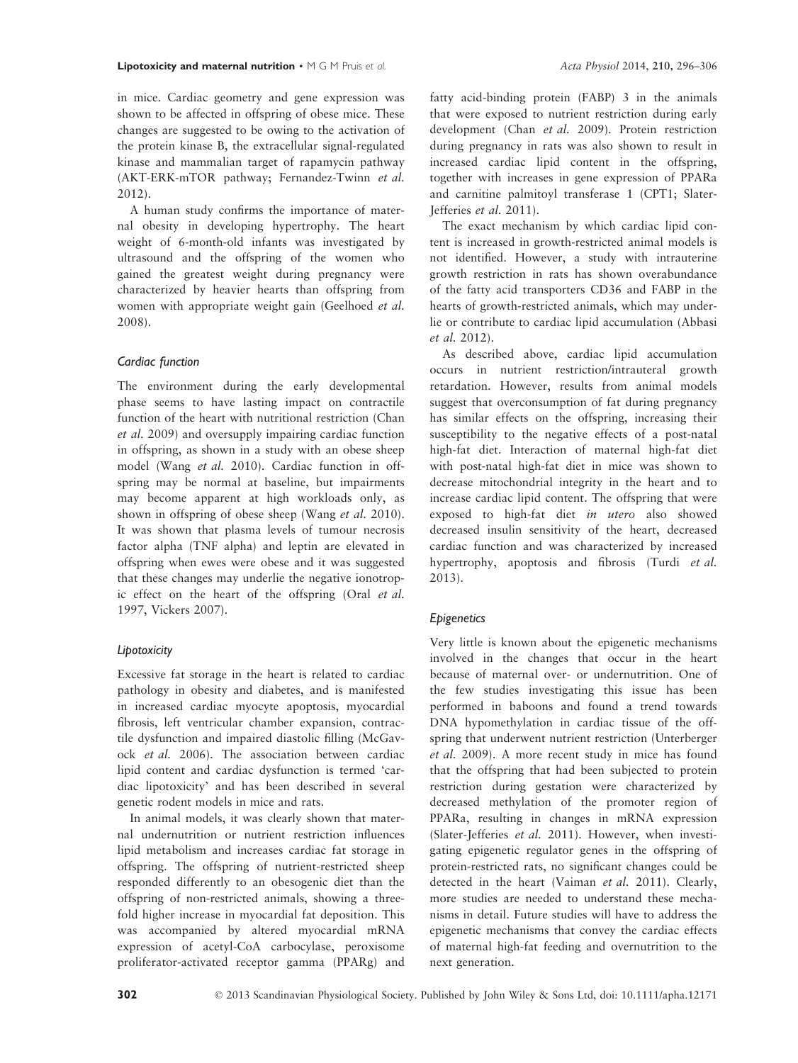in mice. Cardiac geometry and gene expression was shown to be affected in offspring of obese mice. These changes are suggested to be owing to the activation of the protein kinase B, the extracellular signal-regulated kinase and mammalian target of rapamycin pathway (AKT-ERK-mTOR pathway; Fernandez-Twinn et al. 2012).

A human study confirms the importance of maternal obesity in developing hypertrophy. The heart weight of 6-month-old infants was investigated by ultrasound and the offspring of the women who gained the greatest weight during pregnancy were characterized by heavier hearts than offspring from women with appropriate weight gain (Geelhoed et al. 2008).

#### Cardiac function

The environment during the early developmental phase seems to have lasting impact on contractile function of the heart with nutritional restriction (Chan et al. 2009) and oversupply impairing cardiac function in offspring, as shown in a study with an obese sheep model (Wang et al. 2010). Cardiac function in offspring may be normal at baseline, but impairments may become apparent at high workloads only, as shown in offspring of obese sheep (Wang et al. 2010). It was shown that plasma levels of tumour necrosis factor alpha (TNF alpha) and leptin are elevated in offspring when ewes were obese and it was suggested that these changes may underlie the negative ionotropic effect on the heart of the offspring (Oral et al. 1997, Vickers 2007).

#### Lipotoxicity

Excessive fat storage in the heart is related to cardiac pathology in obesity and diabetes, and is manifested in increased cardiac myocyte apoptosis, myocardial fibrosis, left ventricular chamber expansion, contractile dysfunction and impaired diastolic filling (McGavock et al. 2006). The association between cardiac lipid content and cardiac dysfunction is termed 'cardiac lipotoxicity' and has been described in several genetic rodent models in mice and rats.

In animal models, it was clearly shown that maternal undernutrition or nutrient restriction influences lipid metabolism and increases cardiac fat storage in offspring. The offspring of nutrient-restricted sheep responded differently to an obesogenic diet than the offspring of non-restricted animals, showing a threefold higher increase in myocardial fat deposition. This was accompanied by altered myocardial mRNA expression of acetyl-CoA carbocylase, peroxisome proliferator-activated receptor gamma (PPARg) and

fatty acid-binding protein (FABP) 3 in the animals that were exposed to nutrient restriction during early development (Chan et al. 2009). Protein restriction during pregnancy in rats was also shown to result in increased cardiac lipid content in the offspring, together with increases in gene expression of PPARa and carnitine palmitoyl transferase 1 (CPT1; Slater-Jefferies et al. 2011).

The exact mechanism by which cardiac lipid content is increased in growth-restricted animal models is not identified. However, a study with intrauterine growth restriction in rats has shown overabundance of the fatty acid transporters CD36 and FABP in the hearts of growth-restricted animals, which may underlie or contribute to cardiac lipid accumulation (Abbasi et al. 2012).

As described above, cardiac lipid accumulation occurs in nutrient restriction/intrauteral growth retardation. However, results from animal models suggest that overconsumption of fat during pregnancy has similar effects on the offspring, increasing their susceptibility to the negative effects of a post-natal high-fat diet. Interaction of maternal high-fat diet with post-natal high-fat diet in mice was shown to decrease mitochondrial integrity in the heart and to increase cardiac lipid content. The offspring that were exposed to high-fat diet in utero also showed decreased insulin sensitivity of the heart, decreased cardiac function and was characterized by increased hypertrophy, apoptosis and fibrosis (Turdi et al. 2013).

#### Epigenetics

Very little is known about the epigenetic mechanisms involved in the changes that occur in the heart because of maternal over- or undernutrition. One of the few studies investigating this issue has been performed in baboons and found a trend towards DNA hypomethylation in cardiac tissue of the offspring that underwent nutrient restriction (Unterberger et al. 2009). A more recent study in mice has found that the offspring that had been subjected to protein restriction during gestation were characterized by decreased methylation of the promoter region of PPARa, resulting in changes in mRNA expression (Slater-Jefferies et al. 2011). However, when investigating epigenetic regulator genes in the offspring of protein-restricted rats, no significant changes could be detected in the heart (Vaiman et al. 2011). Clearly, more studies are needed to understand these mechanisms in detail. Future studies will have to address the epigenetic mechanisms that convey the cardiac effects of maternal high-fat feeding and overnutrition to the next generation.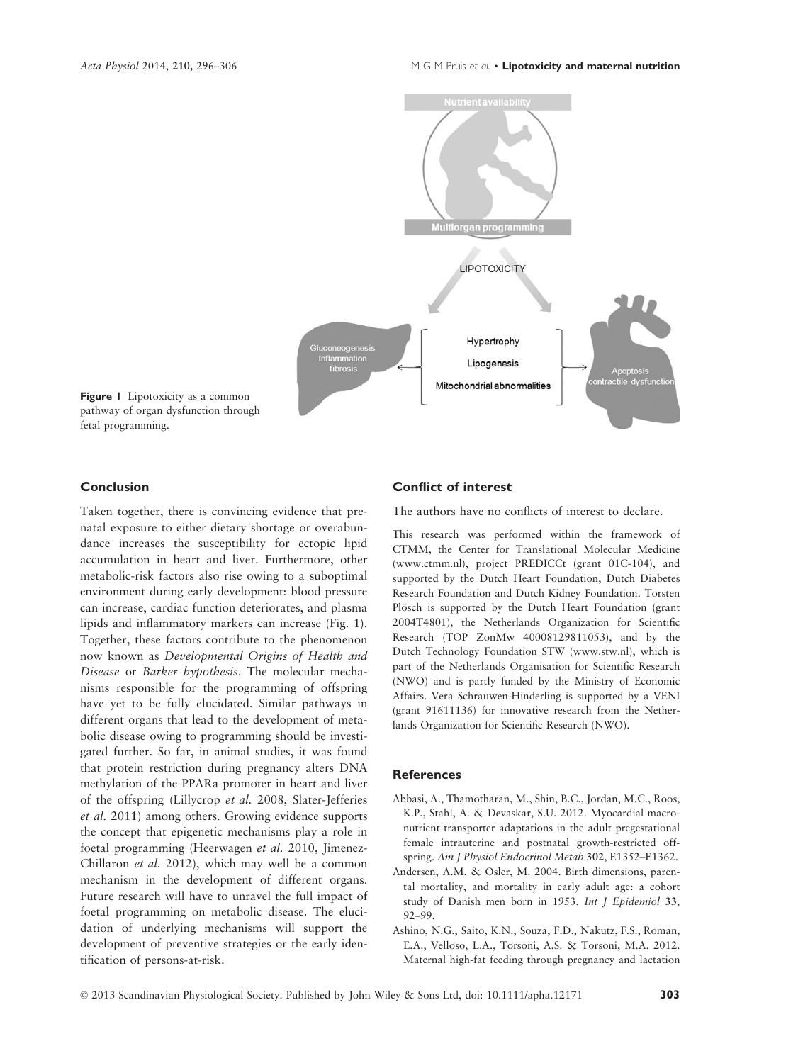

Figure 1 Lipotoxicity as a common pathway of organ dysfunction through fetal programming.

#### Conclusion

Taken together, there is convincing evidence that prenatal exposure to either dietary shortage or overabundance increases the susceptibility for ectopic lipid accumulation in heart and liver. Furthermore, other metabolic-risk factors also rise owing to a suboptimal environment during early development: blood pressure can increase, cardiac function deteriorates, and plasma lipids and inflammatory markers can increase (Fig. 1). Together, these factors contribute to the phenomenon now known as Developmental Origins of Health and Disease or Barker hypothesis. The molecular mechanisms responsible for the programming of offspring have yet to be fully elucidated. Similar pathways in different organs that lead to the development of metabolic disease owing to programming should be investigated further. So far, in animal studies, it was found that protein restriction during pregnancy alters DNA methylation of the PPARa promoter in heart and liver of the offspring (Lillycrop et al. 2008, Slater-Jefferies et al. 2011) among others. Growing evidence supports the concept that epigenetic mechanisms play a role in foetal programming (Heerwagen et al. 2010, Jimenez-Chillaron et al. 2012), which may well be a common mechanism in the development of different organs. Future research will have to unravel the full impact of foetal programming on metabolic disease. The elucidation of underlying mechanisms will support the development of preventive strategies or the early identification of persons-at-risk.

#### Conflict of interest

The authors have no conflicts of interest to declare.

This research was performed within the framework of CTMM, the Center for Translational Molecular Medicine (www.ctmm.nl), project PREDICCt (grant 01C-104), and supported by the Dutch Heart Foundation, Dutch Diabetes Research Foundation and Dutch Kidney Foundation. Torsten Plösch is supported by the Dutch Heart Foundation (grant 2004T4801), the Netherlands Organization for Scientific Research (TOP ZonMw 40008129811053), and by the Dutch Technology Foundation STW (www.stw.nl), which is part of the Netherlands Organisation for Scientific Research (NWO) and is partly funded by the Ministry of Economic Affairs. Vera Schrauwen-Hinderling is supported by a VENI (grant 91611136) for innovative research from the Netherlands Organization for Scientific Research (NWO).

#### **References**

- Abbasi, A., Thamotharan, M., Shin, B.C., Jordan, M.C., Roos, K.P., Stahl, A. & Devaskar, S.U. 2012. Myocardial macronutrient transporter adaptations in the adult pregestational female intrauterine and postnatal growth-restricted offspring. Am J Physiol Endocrinol Metab 302, E1352-E1362.
- Andersen, A.M. & Osler, M. 2004. Birth dimensions, parental mortality, and mortality in early adult age: a cohort study of Danish men born in 1953. Int J Epidemiol 33, 92–99.
- Ashino, N.G., Saito, K.N., Souza, F.D., Nakutz, F.S., Roman, E.A., Velloso, L.A., Torsoni, A.S. & Torsoni, M.A. 2012. Maternal high-fat feeding through pregnancy and lactation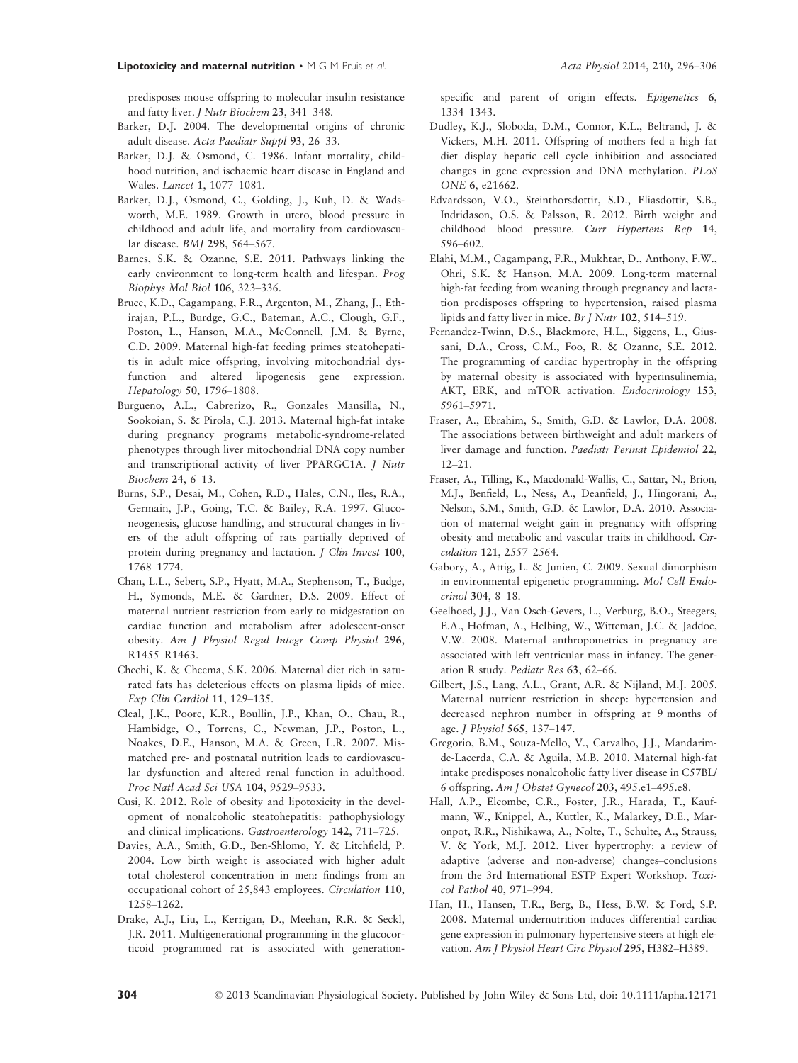predisposes mouse offspring to molecular insulin resistance and fatty liver. J Nutr Biochem 23, 341–348.

- Barker, D.J. 2004. The developmental origins of chronic adult disease. Acta Paediatr Suppl 93, 26–33.
- Barker, D.J. & Osmond, C. 1986. Infant mortality, childhood nutrition, and ischaemic heart disease in England and Wales. Lancet 1, 1077–1081.
- Barker, D.J., Osmond, C., Golding, J., Kuh, D. & Wadsworth, M.E. 1989. Growth in utero, blood pressure in childhood and adult life, and mortality from cardiovascular disease. BMJ 298, 564–567.
- Barnes, S.K. & Ozanne, S.E. 2011. Pathways linking the early environment to long-term health and lifespan. Prog Biophys Mol Biol 106, 323–336.
- Bruce, K.D., Cagampang, F.R., Argenton, M., Zhang, J., Ethirajan, P.L., Burdge, G.C., Bateman, A.C., Clough, G.F., Poston, L., Hanson, M.A., McConnell, J.M. & Byrne, C.D. 2009. Maternal high-fat feeding primes steatohepatitis in adult mice offspring, involving mitochondrial dysfunction and altered lipogenesis gene expression. Hepatology 50, 1796–1808.
- Burgueno, A.L., Cabrerizo, R., Gonzales Mansilla, N., Sookoian, S. & Pirola, C.J. 2013. Maternal high-fat intake during pregnancy programs metabolic-syndrome-related phenotypes through liver mitochondrial DNA copy number and transcriptional activity of liver PPARGC1A. J Nutr Biochem 24, 6–13.
- Burns, S.P., Desai, M., Cohen, R.D., Hales, C.N., Iles, R.A., Germain, J.P., Going, T.C. & Bailey, R.A. 1997. Gluconeogenesis, glucose handling, and structural changes in livers of the adult offspring of rats partially deprived of protein during pregnancy and lactation. J Clin Invest 100, 1768–1774.
- Chan, L.L., Sebert, S.P., Hyatt, M.A., Stephenson, T., Budge, H., Symonds, M.E. & Gardner, D.S. 2009. Effect of maternal nutrient restriction from early to midgestation on cardiac function and metabolism after adolescent-onset obesity. Am J Physiol Regul Integr Comp Physiol 296, R1455–R1463.
- Chechi, K. & Cheema, S.K. 2006. Maternal diet rich in saturated fats has deleterious effects on plasma lipids of mice. Exp Clin Cardiol 11, 129–135.
- Cleal, J.K., Poore, K.R., Boullin, J.P., Khan, O., Chau, R., Hambidge, O., Torrens, C., Newman, J.P., Poston, L., Noakes, D.E., Hanson, M.A. & Green, L.R. 2007. Mismatched pre- and postnatal nutrition leads to cardiovascular dysfunction and altered renal function in adulthood. Proc Natl Acad Sci USA 104, 9529–9533.
- Cusi, K. 2012. Role of obesity and lipotoxicity in the development of nonalcoholic steatohepatitis: pathophysiology and clinical implications. Gastroenterology 142, 711–725.
- Davies, A.A., Smith, G.D., Ben-Shlomo, Y. & Litchfield, P. 2004. Low birth weight is associated with higher adult total cholesterol concentration in men: findings from an occupational cohort of 25,843 employees. Circulation 110, 1258–1262.
- Drake, A.J., Liu, L., Kerrigan, D., Meehan, R.R. & Seckl, J.R. 2011. Multigenerational programming in the glucocorticoid programmed rat is associated with generation-

specific and parent of origin effects. Epigenetics 6, 1334–1343.

- Dudley, K.J., Sloboda, D.M., Connor, K.L., Beltrand, J. & Vickers, M.H. 2011. Offspring of mothers fed a high fat diet display hepatic cell cycle inhibition and associated changes in gene expression and DNA methylation. PLoS ONE 6, e21662.
- Edvardsson, V.O., Steinthorsdottir, S.D., Eliasdottir, S.B., Indridason, O.S. & Palsson, R. 2012. Birth weight and childhood blood pressure. Curr Hypertens Rep 14, 596–602.
- Elahi, M.M., Cagampang, F.R., Mukhtar, D., Anthony, F.W., Ohri, S.K. & Hanson, M.A. 2009. Long-term maternal high-fat feeding from weaning through pregnancy and lactation predisposes offspring to hypertension, raised plasma lipids and fatty liver in mice. Br J Nutr 102, 514–519.
- Fernandez-Twinn, D.S., Blackmore, H.L., Siggens, L., Giussani, D.A., Cross, C.M., Foo, R. & Ozanne, S.E. 2012. The programming of cardiac hypertrophy in the offspring by maternal obesity is associated with hyperinsulinemia, AKT, ERK, and mTOR activation. Endocrinology 153, 5961–5971.
- Fraser, A., Ebrahim, S., Smith, G.D. & Lawlor, D.A. 2008. The associations between birthweight and adult markers of liver damage and function. Paediatr Perinat Epidemiol 22,  $12 - 21$
- Fraser, A., Tilling, K., Macdonald-Wallis, C., Sattar, N., Brion, M.J., Benfield, L., Ness, A., Deanfield, J., Hingorani, A., Nelson, S.M., Smith, G.D. & Lawlor, D.A. 2010. Association of maternal weight gain in pregnancy with offspring obesity and metabolic and vascular traits in childhood. Circulation 121, 2557–2564.
- Gabory, A., Attig, L. & Junien, C. 2009. Sexual dimorphism in environmental epigenetic programming. Mol Cell Endocrinol 304, 8–18.
- Geelhoed, J.J., Van Osch-Gevers, L., Verburg, B.O., Steegers, E.A., Hofman, A., Helbing, W., Witteman, J.C. & Jaddoe, V.W. 2008. Maternal anthropometrics in pregnancy are associated with left ventricular mass in infancy. The generation R study. Pediatr Res 63, 62–66.
- Gilbert, J.S., Lang, A.L., Grant, A.R. & Nijland, M.J. 2005. Maternal nutrient restriction in sheep: hypertension and decreased nephron number in offspring at 9 months of age. J Physiol 565, 137–147.
- Gregorio, B.M., Souza-Mello, V., Carvalho, J.J., Mandarimde-Lacerda, C.A. & Aguila, M.B. 2010. Maternal high-fat intake predisposes nonalcoholic fatty liver disease in C57BL/ 6 offspring. Am J Obstet Gynecol 203, 495.e1–495.e8.
- Hall, A.P., Elcombe, C.R., Foster, J.R., Harada, T., Kaufmann, W., Knippel, A., Kuttler, K., Malarkey, D.E., Maronpot, R.R., Nishikawa, A., Nolte, T., Schulte, A., Strauss, V. & York, M.J. 2012. Liver hypertrophy: a review of adaptive (adverse and non-adverse) changes–conclusions from the 3rd International ESTP Expert Workshop. Toxicol Pathol 40, 971–994.
- Han, H., Hansen, T.R., Berg, B., Hess, B.W. & Ford, S.P. 2008. Maternal undernutrition induces differential cardiac gene expression in pulmonary hypertensive steers at high elevation. Am J Physiol Heart Circ Physiol 295, H382–H389.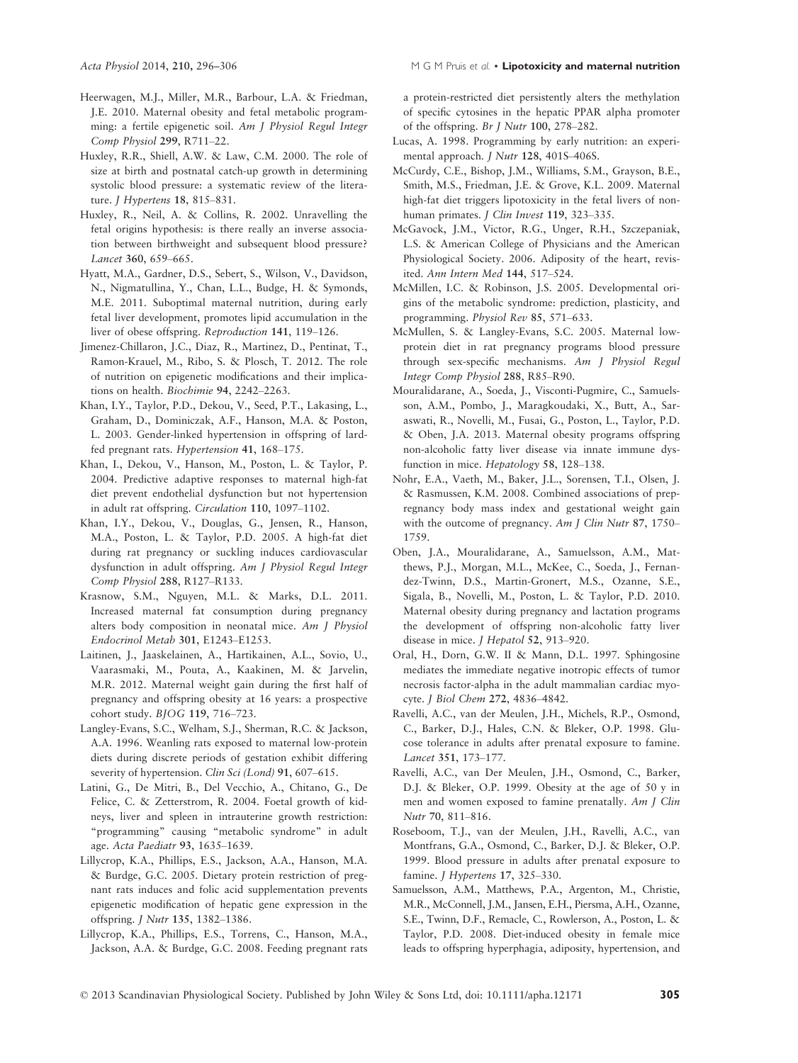- Heerwagen, M.J., Miller, M.R., Barbour, L.A. & Friedman, J.E. 2010. Maternal obesity and fetal metabolic programming: a fertile epigenetic soil. Am J Physiol Regul Integr Comp Physiol 299, R711–22.
- Huxley, R.R., Shiell, A.W. & Law, C.M. 2000. The role of size at birth and postnatal catch-up growth in determining systolic blood pressure: a systematic review of the literature. J Hypertens 18, 815–831.
- Huxley, R., Neil, A. & Collins, R. 2002. Unravelling the fetal origins hypothesis: is there really an inverse association between birthweight and subsequent blood pressure? Lancet 360, 659–665.
- Hyatt, M.A., Gardner, D.S., Sebert, S., Wilson, V., Davidson, N., Nigmatullina, Y., Chan, L.L., Budge, H. & Symonds, M.E. 2011. Suboptimal maternal nutrition, during early fetal liver development, promotes lipid accumulation in the liver of obese offspring. Reproduction 141, 119–126.
- Jimenez-Chillaron, J.C., Diaz, R., Martinez, D., Pentinat, T., Ramon-Krauel, M., Ribo, S. & Plosch, T. 2012. The role of nutrition on epigenetic modifications and their implications on health. Biochimie 94, 2242–2263.
- Khan, I.Y., Taylor, P.D., Dekou, V., Seed, P.T., Lakasing, L., Graham, D., Dominiczak, A.F., Hanson, M.A. & Poston, L. 2003. Gender-linked hypertension in offspring of lardfed pregnant rats. Hypertension 41, 168–175.
- Khan, I., Dekou, V., Hanson, M., Poston, L. & Taylor, P. 2004. Predictive adaptive responses to maternal high-fat diet prevent endothelial dysfunction but not hypertension in adult rat offspring. Circulation 110, 1097–1102.
- Khan, I.Y., Dekou, V., Douglas, G., Jensen, R., Hanson, M.A., Poston, L. & Taylor, P.D. 2005. A high-fat diet during rat pregnancy or suckling induces cardiovascular dysfunction in adult offspring. Am J Physiol Regul Integr Comp Physiol 288, R127–R133.
- Krasnow, S.M., Nguyen, M.L. & Marks, D.L. 2011. Increased maternal fat consumption during pregnancy alters body composition in neonatal mice. Am J Physiol Endocrinol Metab 301, E1243–E1253.
- Laitinen, J., Jaaskelainen, A., Hartikainen, A.L., Sovio, U., Vaarasmaki, M., Pouta, A., Kaakinen, M. & Jarvelin, M.R. 2012. Maternal weight gain during the first half of pregnancy and offspring obesity at 16 years: a prospective cohort study. BJOG 119, 716–723.
- Langley-Evans, S.C., Welham, S.J., Sherman, R.C. & Jackson, A.A. 1996. Weanling rats exposed to maternal low-protein diets during discrete periods of gestation exhibit differing severity of hypertension. Clin Sci (Lond) 91, 607–615.
- Latini, G., De Mitri, B., Del Vecchio, A., Chitano, G., De Felice, C. & Zetterstrom, R. 2004. Foetal growth of kidneys, liver and spleen in intrauterine growth restriction: "programming" causing "metabolic syndrome" in adult age. Acta Paediatr 93, 1635–1639.
- Lillycrop, K.A., Phillips, E.S., Jackson, A.A., Hanson, M.A. & Burdge, G.C. 2005. Dietary protein restriction of pregnant rats induces and folic acid supplementation prevents epigenetic modification of hepatic gene expression in the offspring. J Nutr 135, 1382–1386.
- Lillycrop, K.A., Phillips, E.S., Torrens, C., Hanson, M.A., Jackson, A.A. & Burdge, G.C. 2008. Feeding pregnant rats

a protein-restricted diet persistently alters the methylation of specific cytosines in the hepatic PPAR alpha promoter of the offspring. Br J Nutr 100, 278–282.

- Lucas, A. 1998. Programming by early nutrition: an experimental approach. J Nutr 128, 401S–406S.
- McCurdy, C.E., Bishop, J.M., Williams, S.M., Grayson, B.E., Smith, M.S., Friedman, J.E. & Grove, K.L. 2009. Maternal high-fat diet triggers lipotoxicity in the fetal livers of nonhuman primates. *J Clin Invest* 119, 323-335.
- McGavock, J.M., Victor, R.G., Unger, R.H., Szczepaniak, L.S. & American College of Physicians and the American Physiological Society. 2006. Adiposity of the heart, revisited. Ann Intern Med 144, 517–524.
- McMillen, I.C. & Robinson, J.S. 2005. Developmental origins of the metabolic syndrome: prediction, plasticity, and programming. Physiol Rev 85, 571–633.
- McMullen, S. & Langley-Evans, S.C. 2005. Maternal lowprotein diet in rat pregnancy programs blood pressure through sex-specific mechanisms. Am J Physiol Regul Integr Comp Physiol 288, R85–R90.
- Mouralidarane, A., Soeda, J., Visconti-Pugmire, C., Samuelsson, A.M., Pombo, J., Maragkoudaki, X., Butt, A., Saraswati, R., Novelli, M., Fusai, G., Poston, L., Taylor, P.D. & Oben, J.A. 2013. Maternal obesity programs offspring non-alcoholic fatty liver disease via innate immune dysfunction in mice. Hepatology 58, 128–138.
- Nohr, E.A., Vaeth, M., Baker, J.L., Sorensen, T.I., Olsen, J. & Rasmussen, K.M. 2008. Combined associations of prepregnancy body mass index and gestational weight gain with the outcome of pregnancy. Am J Clin Nutr 87, 1750– 1759.
- Oben, J.A., Mouralidarane, A., Samuelsson, A.M., Matthews, P.J., Morgan, M.L., McKee, C., Soeda, J., Fernandez-Twinn, D.S., Martin-Gronert, M.S., Ozanne, S.E., Sigala, B., Novelli, M., Poston, L. & Taylor, P.D. 2010. Maternal obesity during pregnancy and lactation programs the development of offspring non-alcoholic fatty liver disease in mice. J Hepatol 52, 913–920.
- Oral, H., Dorn, G.W. II & Mann, D.L. 1997. Sphingosine mediates the immediate negative inotropic effects of tumor necrosis factor-alpha in the adult mammalian cardiac myocyte. J Biol Chem 272, 4836–4842.
- Ravelli, A.C., van der Meulen, J.H., Michels, R.P., Osmond, C., Barker, D.J., Hales, C.N. & Bleker, O.P. 1998. Glucose tolerance in adults after prenatal exposure to famine. Lancet 351, 173–177.
- Ravelli, A.C., van Der Meulen, J.H., Osmond, C., Barker, D.J. & Bleker, O.P. 1999. Obesity at the age of 50 y in men and women exposed to famine prenatally. Am J Clin Nutr 70, 811–816.
- Roseboom, T.J., van der Meulen, J.H., Ravelli, A.C., van Montfrans, G.A., Osmond, C., Barker, D.J. & Bleker, O.P. 1999. Blood pressure in adults after prenatal exposure to famine. J Hypertens 17, 325–330.
- Samuelsson, A.M., Matthews, P.A., Argenton, M., Christie, M.R., McConnell, J.M., Jansen, E.H., Piersma, A.H., Ozanne, S.E., Twinn, D.F., Remacle, C., Rowlerson, A., Poston, L. & Taylor, P.D. 2008. Diet-induced obesity in female mice leads to offspring hyperphagia, adiposity, hypertension, and